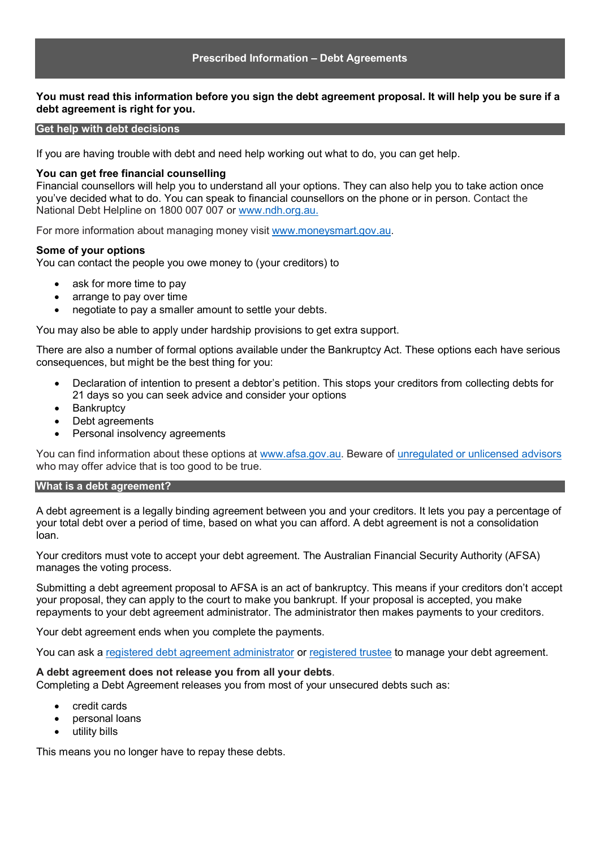### **Prescribed Information – Debt Agreements**

# **You must read this information before you sign the debt agreement proposal. It will help you be sure if a debt agreement is right for you.**

#### **Get help with debt decisions**

If you are having trouble with debt and need help working out what to do, you can get help.

#### **You can get free financial counselling**

Financial counsellors will help you to understand all your options. They can also help you to take action once you've decided what to do. You can speak to financial counsellors on the phone or in person. Contact the National Debt Helpline on 1800 007 007 or [www.ndh.org.au.](http://www.ndh.org.au/)

For more information about managing money visit [www.moneysmart.gov.au.](http://www.moneysmart.gov.au/)

#### **Some of your options**

You can contact the people you owe money to (your creditors) to

- ask for more time to pay
- arrange to pay over time
- negotiate to pay a smaller amount to settle your debts.

You may also be able to apply under hardship provisions to get extra support.

There are also a number of formal options available under the Bankruptcy Act. These options each have serious consequences, but might be the best thing for you:

- Declaration of intention to present a debtor's petition. This stops your creditors from collecting debts for 21 days so you can seek advice and consider your options
- Bankruptcy
- Debt agreements
- Personal insolvency agreements

You can find information about these options at [www.afsa.gov.au.](http://www.afsa.gov.au/) Beware of [unregulated or unlicensed advisors](https://www.afsa.gov.au/insolvency/i-cant-pay-my-debts/get-help-debt-decisions/untrustworthy-debt-advisors) who may offer advice that is too good to be true.

#### **What is a debt agreement?**

A debt agreement is a legally binding agreement between you and your creditors. It lets you pay a percentage of your total debt over a period of time, based on what you can afford. A debt agreement is not a consolidation loan.

Your creditors must vote to accept your debt agreement. The Australian Financial Security Authority (AFSA) manages the voting process.

Submitting a debt agreement proposal to AFSA is an act of bankruptcy. This means if your creditors don't accept your proposal, they can apply to the court to make you bankrupt. If your proposal is accepted, you make repayments to your debt agreement administrator. The administrator then makes payments to your creditors.

Your debt agreement ends when you complete the payments.

You can ask a [registered debt agreement administrator](https://www.afsa.gov.au/practitioners/practicing-registered-debt-agreement-administrators) or [registered trustee](https://www.afsa.gov.au/practitioners/registered-trustee) to manage your debt agreement.

### **A debt agreement does not release you from all your debts**.

Completing a Debt Agreement releases you from most of your unsecured debts such as:

- credit cards
- personal loans
- utility bills

This means you no longer have to repay these debts.